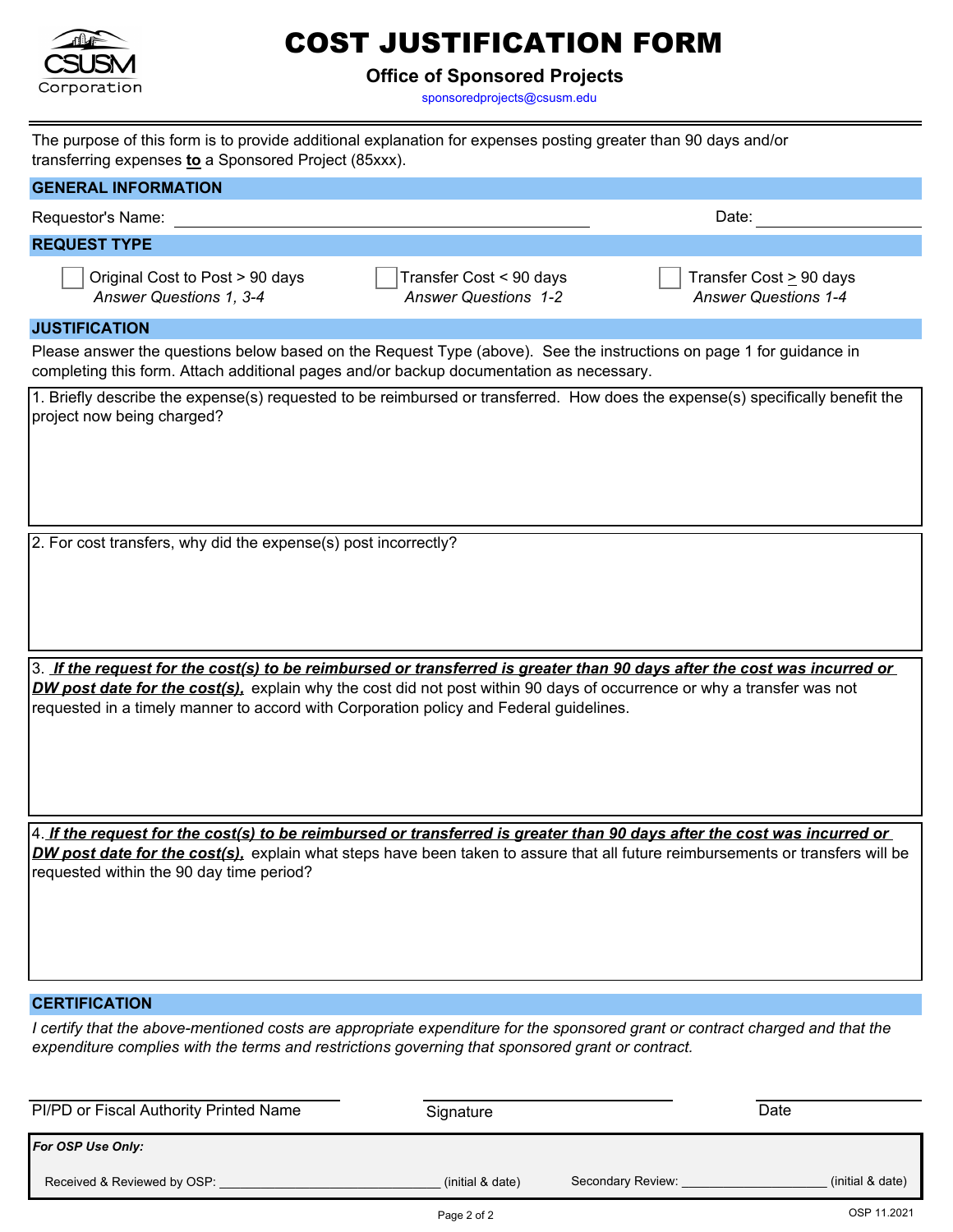

# COST JUSTIFICATION FORM

## **Office of Sponsored Projects**

sponsoredprojects@csusm.edu

The purpose of this form is to provide additional explanation for expenses posting greater than 90 days and/or transferring expenses **to** a Sponsored Project (85xxx).

| <b>GENERAL INFORMATION</b>                                        |                                                        |                                                             |  |
|-------------------------------------------------------------------|--------------------------------------------------------|-------------------------------------------------------------|--|
| Requestor's Name:                                                 |                                                        | Date:                                                       |  |
| <b>REQUEST TYPE</b>                                               |                                                        |                                                             |  |
| Original Cost to Post > 90 days<br><b>Answer Questions 1, 3-4</b> | Transfer Cost < 90 days<br><b>Answer Questions 1-2</b> | Transfer Cost $\geq 90$ days<br><b>Answer Questions 1-4</b> |  |
| <b>JUSTIFICATION</b>                                              |                                                        |                                                             |  |
|                                                                   |                                                        |                                                             |  |

Please answer the questions below based on the Request Type (above). See the instructions on page 1 for guidance in completing this form. Attach additional pages and/or backup documentation as necessary.

1. Briefly describe the expense(s) requested to be reimbursed or transferred. How does the expense(s) specifically benefit the project now being charged?

2. For cost transfers, why did the expense(s) post incorrectly?

3. *If the request for the cost(s) to be reimbursed or transferred is greater than 90 days after the cost was incurred or DW post date for the cost(s),* explain why the cost did not post within 90 days of occurrence or why a transfer was not requested in a timely manner to accord with Corporation policy and Federal guidelines.

4. *If the request for the cost(s) to be reimbursed or transferred is greater than 90 days after the cost was incurred or DW post date for the cost(s),* explain what steps have been taken to assure that all future reimbursements or transfers will be requested within the 90 day time period?

### **CERTIFICATION**

*I* certify that the above-mentioned costs are appropriate expenditure for the sponsored grant or contract charged and that the *expenditure complies with the terms and restrictions governing that sponsored grant or contract.*

| PI/PD or Fiscal Authority Printed Name | Signature        |                   | Date             |
|----------------------------------------|------------------|-------------------|------------------|
| For OSP Use Only:                      |                  |                   |                  |
| Received & Reviewed by OSP:            | (initial & date) | Secondary Review: | (initial & date) |

OSP 11.2021